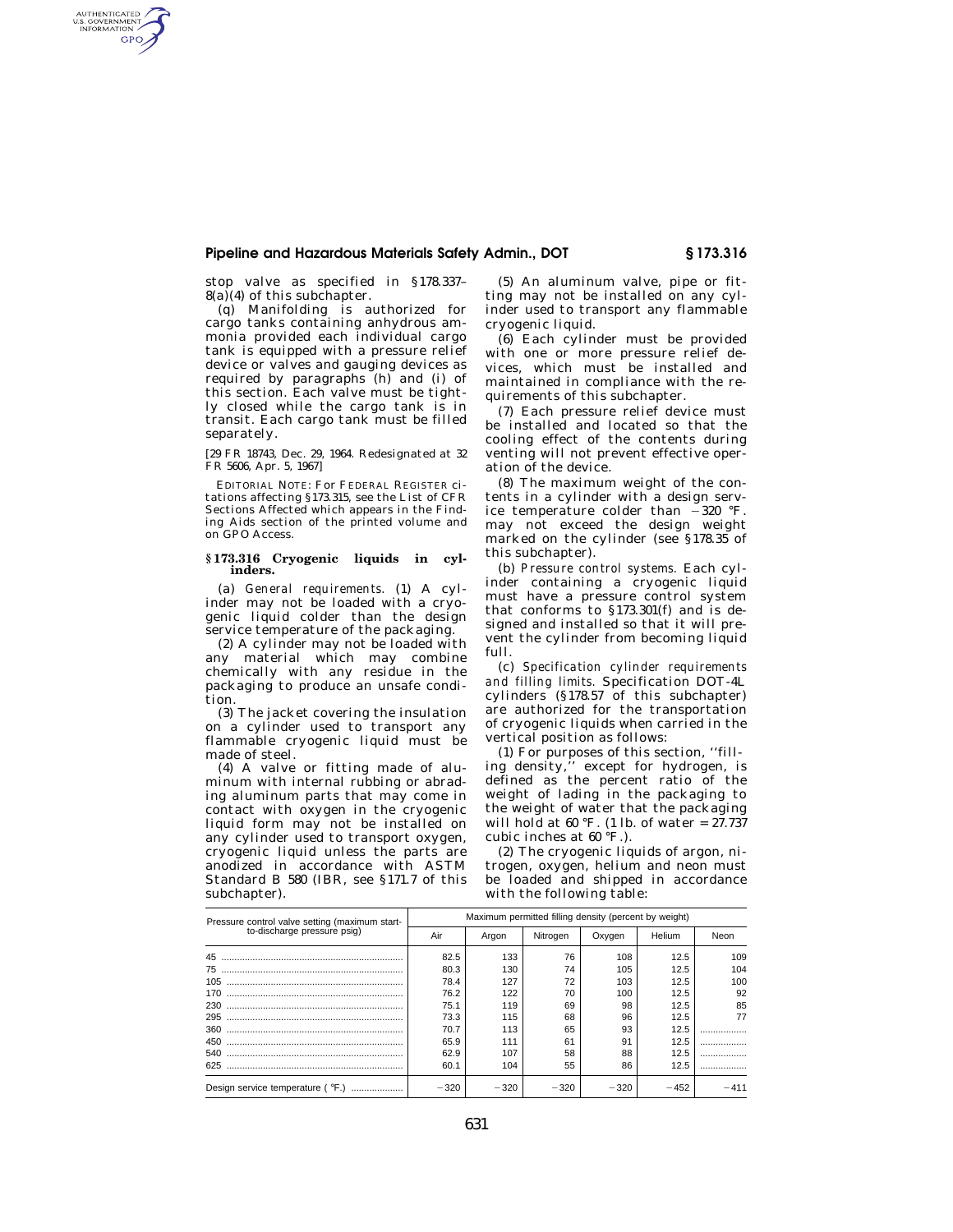## **Pipeline and Hazardous Materials Safety Admin., DOT § 173.316**

stop valve as specified in §178.337–  $8(a)(4)$  of this subchapter.

AUTHENTICATED<br>U.S. GOVERNMENT<br>INFORMATION **GPO** 

> (q) Manifolding is authorized for cargo tanks containing anhydrous ammonia provided each individual cargo tank is equipped with a pressure relief device or valves and gauging devices as required by paragraphs (h) and (i) of this section. Each valve must be tightly closed while the cargo tank is in transit. Each cargo tank must be filled separately.

> [29 FR 18743, Dec. 29, 1964. Redesignated at 32 FR 5606, Apr. 5, 1967]

> EDITORIAL NOTE: For FEDERAL REGISTER citations affecting §173.315, see the List of CFR Sections Affected which appears in the Finding Aids section of the printed volume and on GPO Access.

### **§ 173.316 Cryogenic liquids in cylinders.**

(a) *General requirements.* (1) A cylinder may not be loaded with a cryogenic liquid colder than the design service temperature of the packaging.

(2) A cylinder may not be loaded with any material which may combine chemically with any residue in the packaging to produce an unsafe condition.

(3) The jacket covering the insulation on a cylinder used to transport any flammable cryogenic liquid must be made of steel.

(4) A valve or fitting made of aluminum with internal rubbing or abrading aluminum parts that may come in contact with oxygen in the cryogenic liquid form may not be installed on any cylinder used to transport oxygen, cryogenic liquid unless the parts are anodized in accordance with ASTM Standard B 580 (IBR, see §171.7 of this subchapter).

(5) An aluminum valve, pipe or fitting may not be installed on any cylinder used to transport any flammable cryogenic liquid.

(6) Each cylinder must be provided with one or more pressure relief devices, which must be installed and maintained in compliance with the requirements of this subchapter.

(7) Each pressure relief device must be installed and located so that the cooling effect of the contents during venting will not prevent effective operation of the device.

(8) The maximum weight of the contents in a cylinder with a design service temperature colder than  $-320$  °F. may not exceed the design weight marked on the cylinder (see §178.35 of this subchapter).

(b) *Pressure control systems.* Each cylinder containing a cryogenic liquid must have a pressure control system that conforms to §173.301(f) and is designed and installed so that it will prevent the cylinder from becoming liquid full.

(c) *Specification cylinder requirements and filling limits.* Specification DOT-4L cylinders (§178.57 of this subchapter) are authorized for the transportation of cryogenic liquids when carried in the vertical position as follows:

(1) For purposes of this section, ''filling density,'' except for hydrogen, is defined as the percent ratio of the weight of lading in the packaging to the weight of water that the packaging will hold at 60 °F. (1 lb. of water = 27.737 cubic inches at 60 °F.).

(2) The cryogenic liquids of argon, nitrogen, oxygen, helium and neon must be loaded and shipped in accordance with the following table:

| Pressure control valve setting (maximum start-<br>to-discharge pressure psig) | Maximum permitted filling density (percent by weight) |        |          |        |        |      |
|-------------------------------------------------------------------------------|-------------------------------------------------------|--------|----------|--------|--------|------|
|                                                                               | Air                                                   | Argon  | Nitrogen | Oxygen | Helium | Neon |
| 45                                                                            | 82.5                                                  | 133    | 76       | 108    | 12.5   | 109  |
| 75                                                                            | 80.3                                                  | 130    | 74       | 105    | 12.5   | 104  |
| 105                                                                           | 78.4                                                  | 127    | 72       | 103    | 12.5   | 100  |
| 170                                                                           | 76.2                                                  | 122    | 70       | 100    | 12.5   | 92   |
| 230                                                                           | 75.1                                                  | 119    | 69       | 98     | 12.5   | 85   |
| 295                                                                           | 73.3                                                  | 115    | 68       | 96     | 12.5   | 77   |
| 360                                                                           | 70.7                                                  | 113    | 65       | 93     | 12.5   |      |
| 450                                                                           | 65.9                                                  | 111    | 61       | 91     | 12.5   |      |
| 540                                                                           | 62.9                                                  | 107    | 58       | 88     | 12.5   | .    |
| 625                                                                           | 60.1                                                  | 104    | 55       | 86     | 12.5   |      |
| Design service temperature ( °F.)                                             | $-320$                                                | $-320$ | $-320$   | $-320$ | $-452$ |      |